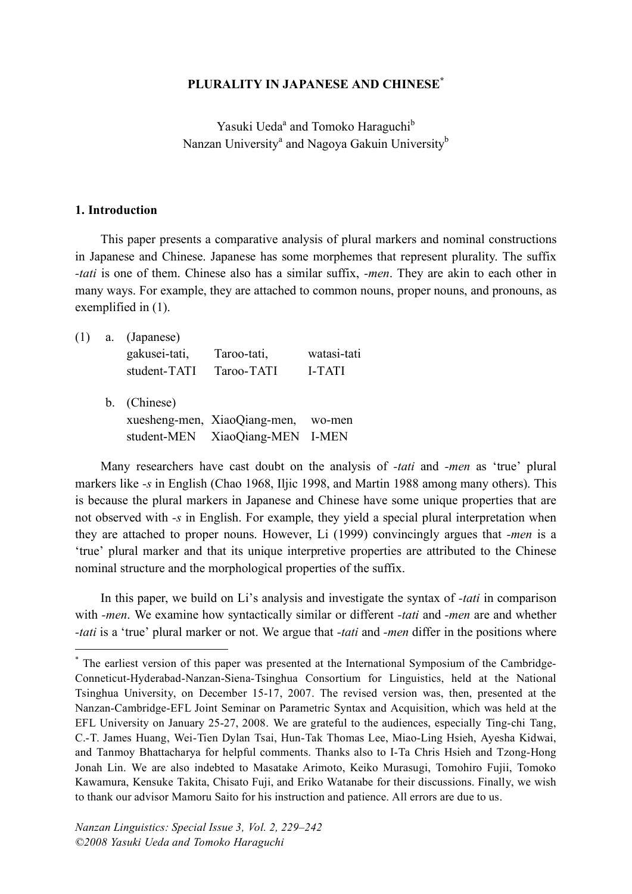#### **PLURALITY IN JAPANESE AND CHINESE\***

Yasuki Ueda<sup>a</sup> and Tomoko Haraguchi<sup>b</sup> Nanzan University<sup>a</sup> and Nagoya Gakuin University<sup>b</sup>

#### **1. Introduction**

This paper presents a comparative analysis of plural markers and nominal constructions in Japanese and Chinese. Japanese has some morphemes that represent plurality. The suffix *-tati* is one of them. Chinese also has a similar suffix, *-men*. They are akin to each other in many ways. For example, they are attached to common nouns, proper nouns, and pronouns, as exemplified in (1).

| (1) | a. (Japanese) |                              |               |
|-----|---------------|------------------------------|---------------|
|     | gakusei-tati, | Taroo-tati,                  | watasi-tati   |
|     | student-TATI  | Taroo-TATI                   | <b>I-TATI</b> |
|     | b. (Chinese)  |                              |               |
|     |               | xuesheng-men, XiaoQiang-men, | wo-men        |
|     |               | student-MEN XiaoQiang-MEN    | I-MEN         |

Many researchers have cast doubt on the analysis of *-tati* and *-men* as 'true' plural markers like *-s* in English (Chao 1968, Iljic 1998, and Martin 1988 among many others). This is because the plural markers in Japanese and Chinese have some unique properties that are not observed with *-s* in English. For example, they yield a special plural interpretation when they are attached to proper nouns. However, Li (1999) convincingly argues that *-men* is a 'true' plural marker and that its unique interpretive properties are attributed to the Chinese nominal structure and the morphological properties of the suffix.

In this paper, we build on Li's analysis and investigate the syntax of *-tati* in comparison with *-men*. We examine how syntactically similar or different *-tati* and *-men* are and whether *-tati* is a 'true' plural marker or not. We argue that *-tati* and *-men* differ in the positions where

 <sup>\*</sup> The earliest version of this paper was presented at the International Symposium of the Cambridge-Conneticut-Hyderabad-Nanzan-Siena-Tsinghua Consortium for Linguistics, held at the National Tsinghua University, on December 15-17, 2007. The revised version was, then, presented at the Nanzan-Cambridge-EFL Joint Seminar on Parametric Syntax and Acquisition, which was held at the EFL University on January 25-27, 2008. We are grateful to the audiences, especially Ting-chi Tang, C.-T. James Huang, Wei-Tien Dylan Tsai, Hun-Tak Thomas Lee, Miao-Ling Hsieh, Ayesha Kidwai, and Tanmoy Bhattacharya for helpful comments. Thanks also to I-Ta Chris Hsieh and Tzong-Hong Jonah Lin. We are also indebted to Masatake Arimoto, Keiko Murasugi, Tomohiro Fujii, Tomoko Kawamura, Kensuke Takita, Chisato Fuji, and Eriko Watanabe for their discussions. Finally, we wish to thank our advisor Mamoru Saito for his instruction and patience. All errors are due to us.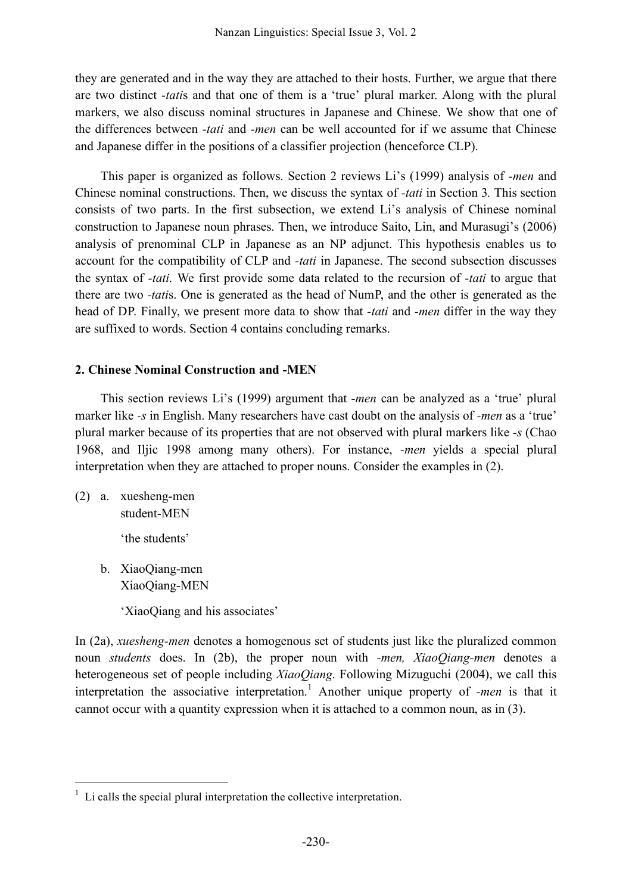they are generated and in the way they are attached to their hosts. Further, we argue that there are two distinct *-tati*s and that one of them is a 'true' plural marker. Along with the plural markers, we also discuss nominal structures in Japanese and Chinese. We show that one of the differences between *-tati* and *-men* can be well accounted for if we assume that Chinese and Japanese differ in the positions of a classifier projection (henceforce CLP).

This paper is organized as follows. Section 2 reviews Li's (1999) analysis of *-men* and Chinese nominal constructions. Then, we discuss the syntax of *-tati* in Section 3*.* This section consists of two parts. In the first subsection, we extend Li's analysis of Chinese nominal construction to Japanese noun phrases. Then, we introduce Saito, Lin, and Murasugi's (2006) analysis of prenominal CLP in Japanese as an NP adjunct. This hypothesis enables us to account for the compatibility of CLP and *-tati* in Japanese. The second subsection discusses the syntax of *-tati*. We first provide some data related to the recursion of *-tati* to argue that there are two *-tati*s. One is generated as the head of NumP, and the other is generated as the head of DP. Finally, we present more data to show that *-tati* and *-men* differ in the way they are suffixed to words. Section 4 contains concluding remarks.

## **2. Chinese Nominal Construction and -MEN**

This section reviews Li's (1999) argument that *-men* can be analyzed as a 'true' plural marker like *-s* in English. Many researchers have cast doubt on the analysis of *-men* as a 'true' plural marker because of its properties that are not observed with plural markers like *-s* (Chao 1968, and Iljic 1998 among many others). For instance, *-men* yields a special plural interpretation when they are attached to proper nouns. Consider the examples in (2).

(2) a. xuesheng-men student-MEN

'the students'

b. XiaoQiang-men XiaoQiang-MEN

'XiaoQiang and his associates'

In (2a), *xuesheng-men* denotes a homogenous set of students just like the pluralized common noun *students* does. In (2b), the proper noun with *-men, XiaoQiang-men* denotes a heterogeneous set of people including *XiaoQiang*. Following Mizuguchi (2004), we call this interpretation the associative interpretation. <sup>1</sup> Another unique property of *-men* is that it cannot occur with a quantity expression when it is attached to a common noun, as in (3).

 $1$  Li calls the special plural interpretation the collective interpretation.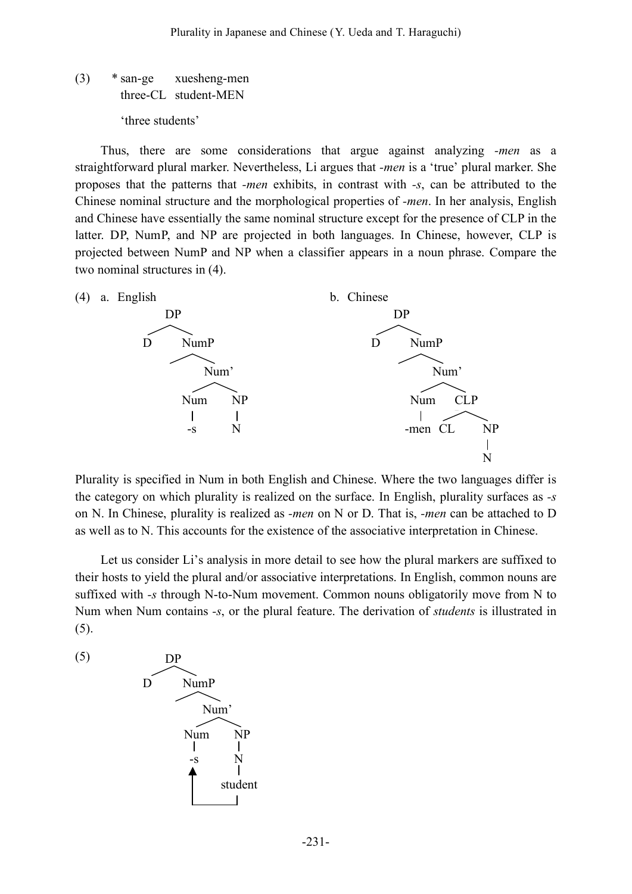(3) \* san-ge xuesheng-men three-CL student-MEN 'three students'

Thus, there are some considerations that argue against analyzing *-men* as a straightforward plural marker. Nevertheless, Li argues that *-men* is a 'true' plural marker. She proposes that the patterns that *-men* exhibits, in contrast with *-s*, can be attributed to the Chinese nominal structure and the morphological properties of *-men*. In her analysis, English and Chinese have essentially the same nominal structure except for the presence of CLP in the latter. DP, NumP, and NP are projected in both languages. In Chinese, however, CLP is projected between NumP and NP when a classifier appears in a noun phrase. Compare the two nominal structures in (4).



Plurality is specified in Num in both English and Chinese. Where the two languages differ is the category on which plurality is realized on the surface. In English, plurality surfaces as *-s* on N. In Chinese, plurality is realized as *-men* on N or D. That is, *-men* can be attached to D as well as to N. This accounts for the existence of the associative interpretation in Chinese.

Let us consider Li's analysis in more detail to see how the plural markers are suffixed to their hosts to yield the plural and/or associative interpretations. In English, common nouns are suffixed with *-s* through N-to-Num movement. Common nouns obligatorily move from N to Num when Num contains *-s*, or the plural feature. The derivation of *students* is illustrated in (5).

(5)

$$
D\n\nNum

\nNum

\nNum

\nNum

\nNum

\nNum

\nNumber

\nNumber

\nStudent

\nStudent

\nOutput

\nDescription:
$$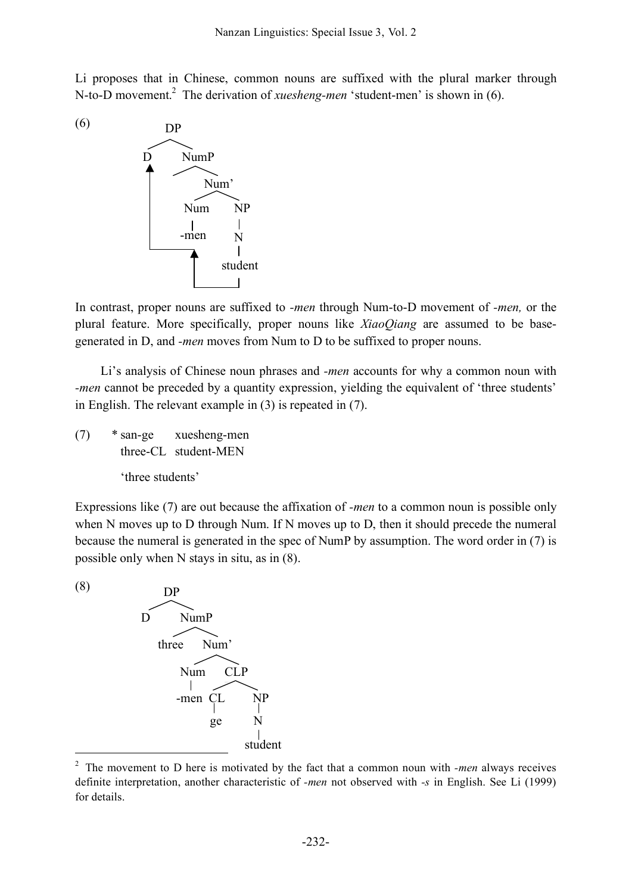Li proposes that in Chinese, common nouns are suffixed with the plural marker through N-to-D movement. <sup>2</sup> The derivation of *xuesheng-men* 'student-men' is shown in (6).



In contrast, proper nouns are suffixed to *-men* through Num-to-D movement of *-men,* or the plural feature. More specifically, proper nouns like *XiaoQiang* are assumed to be basegenerated in D, and *-men* moves from Num to D to be suffixed to proper nouns.

Li's analysis of Chinese noun phrases and *-men* accounts for why a common noun with *-men* cannot be preceded by a quantity expression, yielding the equivalent of 'three students' in English. The relevant example in (3) is repeated in (7).

(7) \* san-ge xuesheng-men three-CL student-MEN

'three students'

Expressions like (7) are out because the affixation of *-men* to a common noun is possible only when N moves up to D through Num. If N moves up to D, then it should precede the numeral because the numeral is generated in the spec of NumP by assumption. The word order in (7) is possible only when N stays in situ, as in (8).

(8)



 <sup>2</sup> The movement to <sup>D</sup> here is motivated by the fact that a common noun with *-men* always receives definite interpretation, another characteristic of *-men* not observed with *-s* in English. See Li (1999) for details.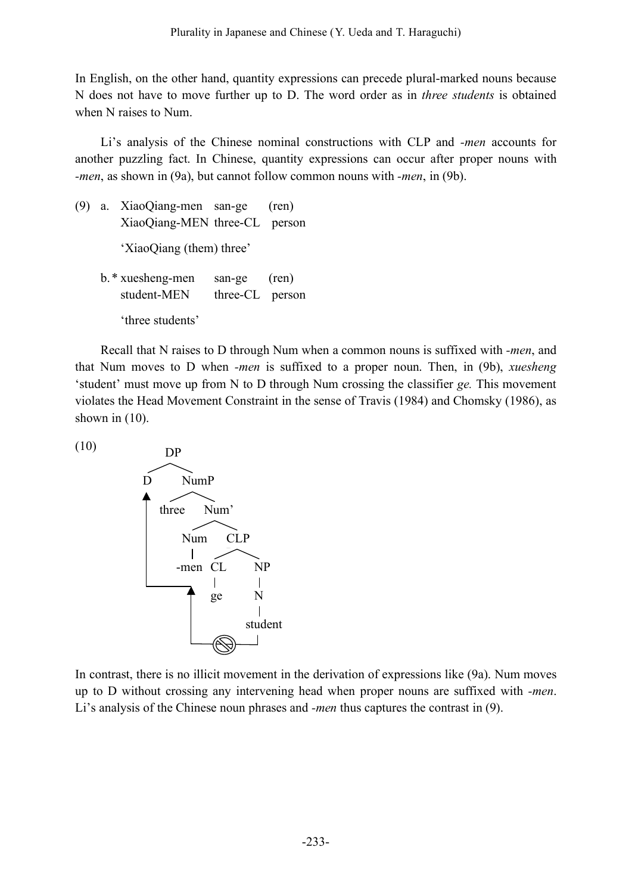In English, on the other hand, quantity expressions can precede plural-marked nouns because N does not have to move further up to D. The word order as in *three students* is obtained when N raises to Num.

Li's analysis of the Chinese nominal constructions with CLP and *-men* accounts for another puzzling fact. In Chinese, quantity expressions can occur after proper nouns with *-men*, as shown in (9a), but cannot follow common nouns with *-men*, in (9b).

- (9) a. XiaoQiang-men san-ge (ren) XiaoQiang-MEN three-CL person 'XiaoQiang (them) three' b.\* xuesheng-men san-ge (ren) student-MEN three-CL person
	- 'three students'

Recall that N raises to D through Num when a common nouns is suffixed with *-men*, and that Num moves to D when *-men* is suffixed to a proper noun. Then, in (9b), *xuesheng* 'student' must move up from N to D through Num crossing the classifier *ge.* This movement violates the Head Movement Constraint in the sense of Travis (1984) and Chomsky (1986), as shown in  $(10)$ .

(10)



In contrast, there is no illicit movement in the derivation of expressions like (9a). Num moves up to D without crossing any intervening head when proper nouns are suffixed with *-men*. Li's analysis of the Chinese noun phrases and *-men* thus captures the contrast in (9).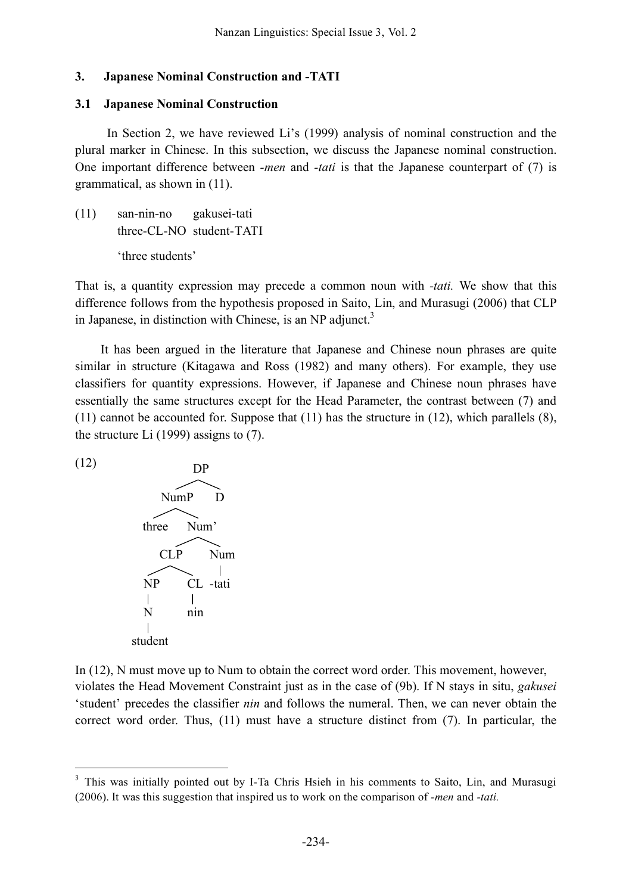## **3. Japanese Nominal Construction and -TATI**

## **3.1 Japanese Nominal Construction**

In Section 2, we have reviewed Li's (1999) analysis of nominal construction and the plural marker in Chinese. In this subsection, we discuss the Japanese nominal construction. One important difference between *-men* and *-tati* is that the Japanese counterpart of (7) is grammatical, as shown in (11).

(11) san-nin-no gakusei-tati three-CL-NO student-TATI 'three students'

That is, a quantity expression may precede a common noun with *-tati.* We show that this difference follows from the hypothesis proposed in Saito, Lin, and Murasugi (2006) that CLP in Japanese, in distinction with Chinese, is an NP adjunct.<sup>3</sup>

It has been argued in the literature that Japanese and Chinese noun phrases are quite similar in structure (Kitagawa and Ross (1982) and many others). For example, they use classifiers for quantity expressions. However, if Japanese and Chinese noun phrases have essentially the same structures except for the Head Parameter, the contrast between (7) and (11) cannot be accounted for. Suppose that (11) has the structure in (12), which parallels (8), the structure Li (1999) assigns to (7).

(12)



In (12), N must move up to Num to obtain the correct word order. This movement, however, violates the Head Movement Constraint just as in the case of (9b). If N stays in situ, *gakusei* 'student' precedes the classifier *nin* and follows the numeral. Then, we can never obtain the correct word order. Thus, (11) must have a structure distinct from (7). In particular, the

<sup>&</sup>lt;sup>3</sup> This was initially pointed out by I-Ta Chris Hsieh in his comments to Saito, Lin, and Murasugi (2006). It was this suggestion that inspired us to work on the comparison of *-men* and *-tati.*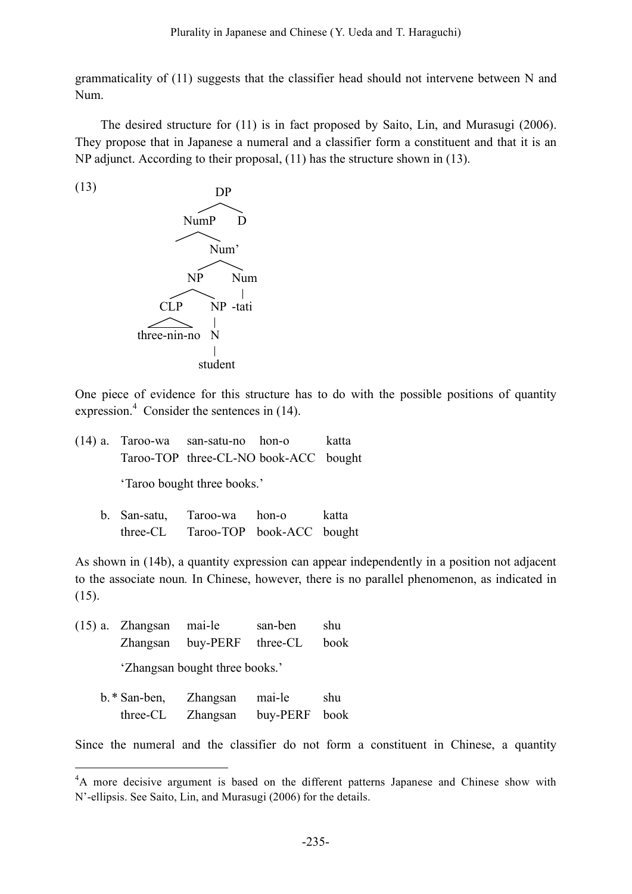grammaticality of (11) suggests that the classifier head should not intervene between N and Num.

The desired structure for (11) is in fact proposed by Saito, Lin, and Murasugi (2006). They propose that in Japanese a numeral and a classifier form a constituent and that it is an NP adjunct. According to their proposal, (11) has the structure shown in (13).

(13)



One piece of evidence for this structure has to do with the possible positions of quantity expression.<sup>4</sup> Consider the sentences in (14).

|  | $(14)$ a. Taroo-wa san-satu-no hon-o  | katta |
|--|---------------------------------------|-------|
|  | Taroo-TOP three-CL-NO book-ACC bought |       |

'Taroo bought three books.'

b. San-satu, Taroo-wa hon-o katta three-CL Taroo-TOP book-ACC bought

As shown in (14b), a quantity expression can appear independently in a position not adjacent to the associate noun*.* In Chinese, however, there is no parallel phenomenon, as indicated in (15).

(15) a. Zhangsan mai-le san-ben shu Zhangsan buy-PERF three-CL book 'Zhangsan bought three books.'

| b. * San-ben, | Zhangsan | mai-le        | shu |
|---------------|----------|---------------|-----|
| three-CL      | Zhangsan | buy-PERF book |     |

Since the numeral and the classifier do not form a constituent in Chinese, a quantity

 $\frac{1}{4}$ <sup>4</sup>A more decisive argument is based on the different patterns Japanese and Chinese show with N'-ellipsis. See Saito, Lin, and Murasugi (2006) for the details.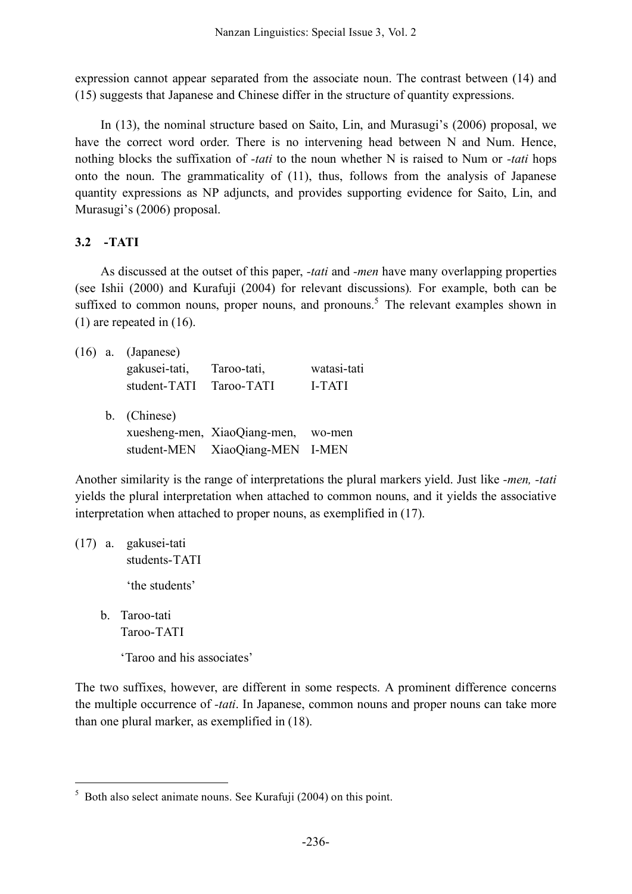expression cannot appear separated from the associate noun. The contrast between (14) and (15) suggests that Japanese and Chinese differ in the structure of quantity expressions.

In (13), the nominal structure based on Saito, Lin, and Murasugi's (2006) proposal, we have the correct word order. There is no intervening head between N and Num. Hence, nothing blocks the suffixation of *-tati* to the noun whether N is raised to Num or *-tati* hops onto the noun. The grammaticality of (11), thus, follows from the analysis of Japanese quantity expressions as NP adjuncts, and provides supporting evidence for Saito, Lin, and Murasugi's (2006) proposal.

# **3.2 -TATI**

As discussed at the outset of this paper, *-tati* and *-men* have many overlapping properties (see Ishii (2000) and Kurafuji (2004) for relevant discussions)*.* For example, both can be suffixed to common nouns, proper nouns, and pronouns.<sup>5</sup> The relevant examples shown in (1) are repeated in (16).

|  | $(16)$ a. (Japanese)<br>gakusei-tati,<br>student-TATI | Taroo-tati,<br>Taroo-TATI       | watasi-tati<br>I-TATI |
|--|-------------------------------------------------------|---------------------------------|-----------------------|
|  | b. (Chinese)                                          |                                 |                       |
|  |                                                       | xuesheng-men, XiaoQiang-men,    | wo-men                |
|  |                                                       | student-MEN XiaoQiang-MEN I-MEN |                       |

Another similarity is the range of interpretations the plural markers yield. Just like *-men, -tati* yields the plural interpretation when attached to common nouns, and it yields the associative interpretation when attached to proper nouns, as exemplified in (17).

- (17) a. gakusei-tati students-TATI 'the students'
	- b. Taroo-tati Taroo-TATI

'Taroo and his associates'

The two suffixes, however, are different in some respects. A prominent difference concerns the multiple occurrence of *-tati*. In Japanese, common nouns and proper nouns can take more than one plural marker, as exemplified in (18).

 $5$  Both also select animate nouns. See Kurafuji (2004) on this point.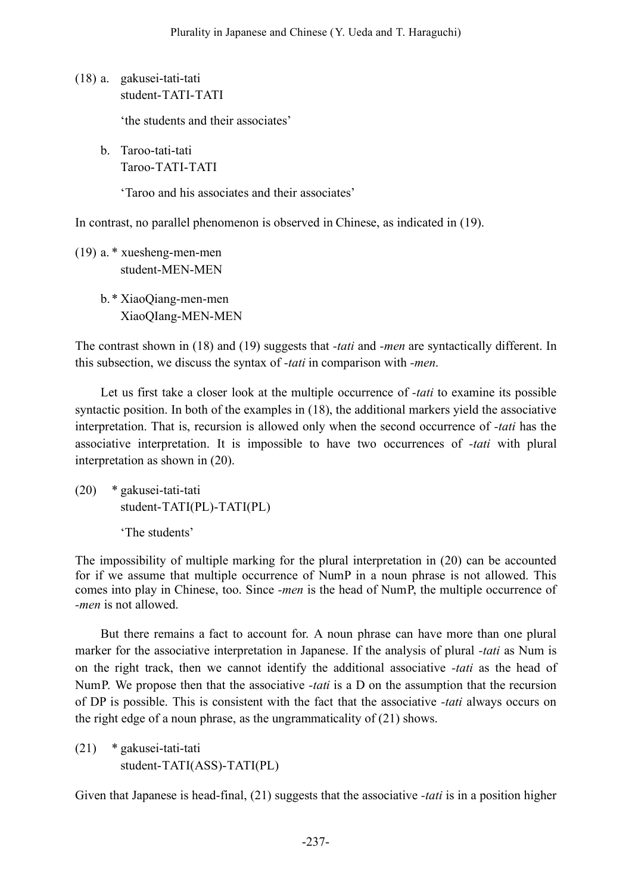(18) a. gakusei-tati-tati student-TATI-TATI

'the students and their associates'

b. Taroo-tati-tati Taroo-TATI-TATI

'Taroo and his associates and their associates'

In contrast, no parallel phenomenon is observed in Chinese, as indicated in (19).

(19) a. \* xuesheng-men-men student-MEN-MEN

> b.\* XiaoQiang-men-men XiaoQIang-MEN-MEN

The contrast shown in (18) and (19) suggests that *-tati* and *-men* are syntactically different. In this subsection, we discuss the syntax of *-tati* in comparison with *-men*.

Let us first take a closer look at the multiple occurrence of *-tati* to examine its possible syntactic position. In both of the examples in (18), the additional markers yield the associative interpretation. That is, recursion is allowed only when the second occurrence of *-tati* has the associative interpretation. It is impossible to have two occurrences of *-tati* with plural interpretation as shown in (20).

(20) \* gakusei-tati-tati student-TATI(PL)-TATI(PL)

'The students'

The impossibility of multiple marking for the plural interpretation in (20) can be accounted for if we assume that multiple occurrence of NumP in a noun phrase is not allowed. This comes into play in Chinese, too. Since *-men* is the head of NumP, the multiple occurrence of *-men* is not allowed.

But there remains a fact to account for. A noun phrase can have more than one plural marker for the associative interpretation in Japanese. If the analysis of plural *-tati* as Num is on the right track, then we cannot identify the additional associative *-tati* as the head of NumP. We propose then that the associative *-tati* is a D on the assumption that the recursion of DP is possible. This is consistent with the fact that the associative *-tati* always occurs on the right edge of a noun phrase, as the ungrammaticality of (21) shows.

(21) \* gakusei-tati-tati student-TATI(ASS)-TATI(PL)

Given that Japanese is head-final, (21) suggests that the associative *-tati* is in a position higher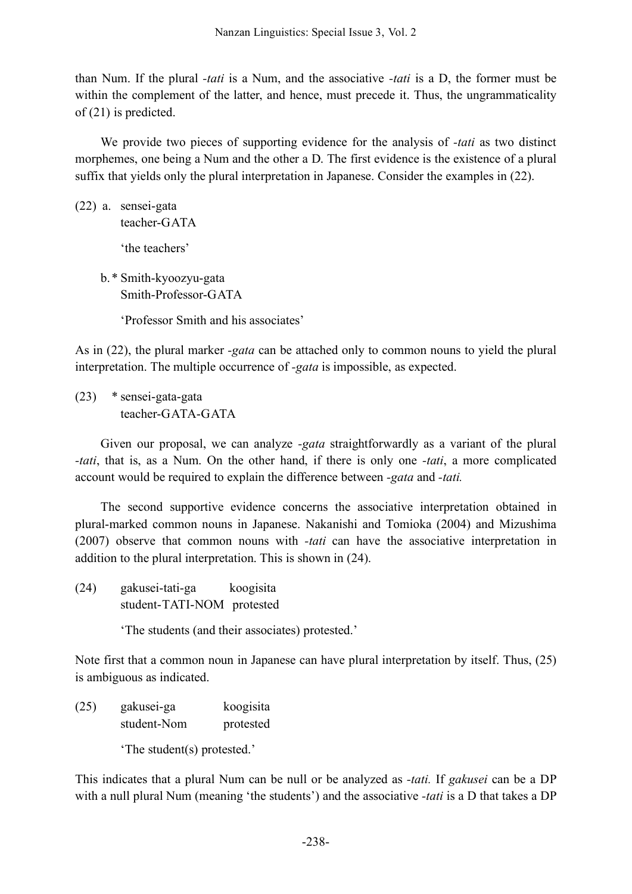than Num. If the plural *-tati* is a Num, and the associative *-tati* is a D, the former must be within the complement of the latter, and hence, must precede it. Thus, the ungrammaticality of (21) is predicted.

We provide two pieces of supporting evidence for the analysis of *-tati* as two distinct morphemes, one being a Num and the other a D. The first evidence is the existence of a plural suffix that yields only the plural interpretation in Japanese. Consider the examples in (22).

- (22) a. sensei-gata teacher-GATA 'the teachers'
	- b.\* Smith-kyoozyu-gata Smith-Professor-GATA

'Professor Smith and his associates'

As in (22), the plural marker *-gata* can be attached only to common nouns to yield the plural interpretation. The multiple occurrence of *-gata* is impossible, as expected.

(23) \* sensei-gata-gata teacher-GATA-GATA

Given our proposal, we can analyze *-gata* straightforwardly as a variant of the plural *-tati*, that is, as a Num. On the other hand, if there is only one *-tati*, a more complicated account would be required to explain the difference between *-gata* and *-tati.*

The second supportive evidence concerns the associative interpretation obtained in plural-marked common nouns in Japanese. Nakanishi and Tomioka (2004) and Mizushima (2007) observe that common nouns with *-tati* can have the associative interpretation in addition to the plural interpretation. This is shown in (24).

(24) gakusei-tati-ga koogisita student-TATI-NOM protested

'The students (and their associates) protested.'

Note first that a common noun in Japanese can have plural interpretation by itself. Thus, (25) is ambiguous as indicated.

(25) gakusei-ga koogisita student-Nom protested 'The student(s) protested.'

This indicates that a plural Num can be null or be analyzed as *-tati.* If *gakusei* can be a DP with a null plural Num (meaning 'the students') and the associative *-tati* is a D that takes a DP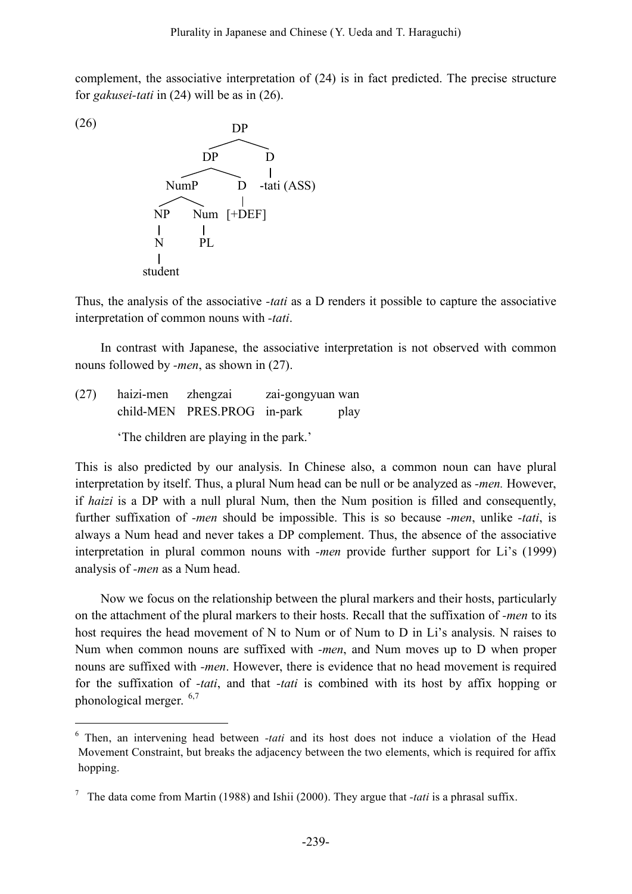complement, the associative interpretation of (24) is in fact predicted. The precise structure for *gakusei-tati* in (24) will be as in (26).



Thus, the analysis of the associative *-tati* as a D renders it possible to capture the associative interpretation of common nouns with *-tati*.

In contrast with Japanese, the associative interpretation is not observed with common nouns followed by *-men*, as shown in (27).

(27) haizi-men zhengzai zai-gongyuan wan child-MEN PRES.PROG in-park play

'The children are playing in the park.'

This is also predicted by our analysis. In Chinese also, a common noun can have plural interpretation by itself. Thus, a plural Num head can be null or be analyzed as *-men.* However, if *haizi* is a DP with a null plural Num, then the Num position is filled and consequently, further suffixation of *-men* should be impossible. This is so because *-men*, unlike *-tati*, is always a Num head and never takes a DP complement. Thus, the absence of the associative interpretation in plural common nouns with *-men* provide further support for Li's (1999) analysis of *-men* as a Num head.

Now we focus on the relationship between the plural markers and their hosts, particularly on the attachment of the plural markers to their hosts. Recall that the suffixation of *-men* to its host requires the head movement of N to Num or of Num to D in Li's analysis. N raises to Num when common nouns are suffixed with *-men*, and Num moves up to D when proper nouns are suffixed with *-men*. However, there is evidence that no head movement is required for the suffixation of *-tati*, and that *-tati* is combined with its host by affix hopping or phonological merger. 6,7

 <sup>6</sup> Then, an intervening head between *-tati* and its host does not induce a violation of the Head Movement Constraint, but breaks the adjacency between the two elements, which is required for affix hopping.

<sup>7</sup> The data come from Martin (1988) and Ishii (2000). They argue that *-tati* is a phrasal suffix.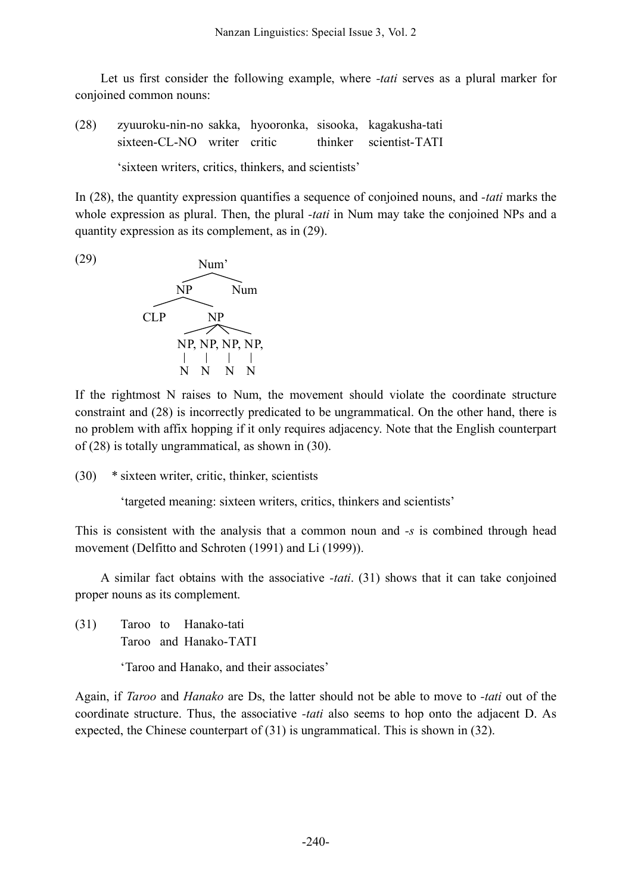Let us first consider the following example, where *-tati* serves as a plural marker for conjoined common nouns:

(28) zyuuroku-nin-no sakka, hyooronka, sisooka, kagakusha-tati sixteen-CL-NO writer critic thinker scientist-TATI

'sixteen writers, critics, thinkers, and scientists'

In (28), the quantity expression quantifies a sequence of conjoined nouns, and *-tati* marks the whole expression as plural. Then, the plural *-tati* in Num may take the conjoined NPs and a quantity expression as its complement, as in (29).



If the rightmost N raises to Num, the movement should violate the coordinate structure constraint and (28) is incorrectly predicated to be ungrammatical. On the other hand, there is no problem with affix hopping if it only requires adjacency. Note that the English counterpart of (28) is totally ungrammatical, as shown in (30).

(30) \* sixteen writer, critic, thinker, scientists

'targeted meaning: sixteen writers, critics, thinkers and scientists'

This is consistent with the analysis that a common noun and *-s* is combined through head movement (Delfitto and Schroten (1991) and Li (1999)).

A similar fact obtains with the associative *-tati*. (31) shows that it can take conjoined proper nouns as its complement.

(31) Taroo to Hanako-tati Taroo and Hanako-TATI

'Taroo and Hanako, and their associates'

Again, if *Taroo* and *Hanako* are Ds, the latter should not be able to move to *-tati* out of the coordinate structure. Thus, the associative *-tati* also seems to hop onto the adjacent D. As expected, the Chinese counterpart of (31) is ungrammatical. This is shown in (32).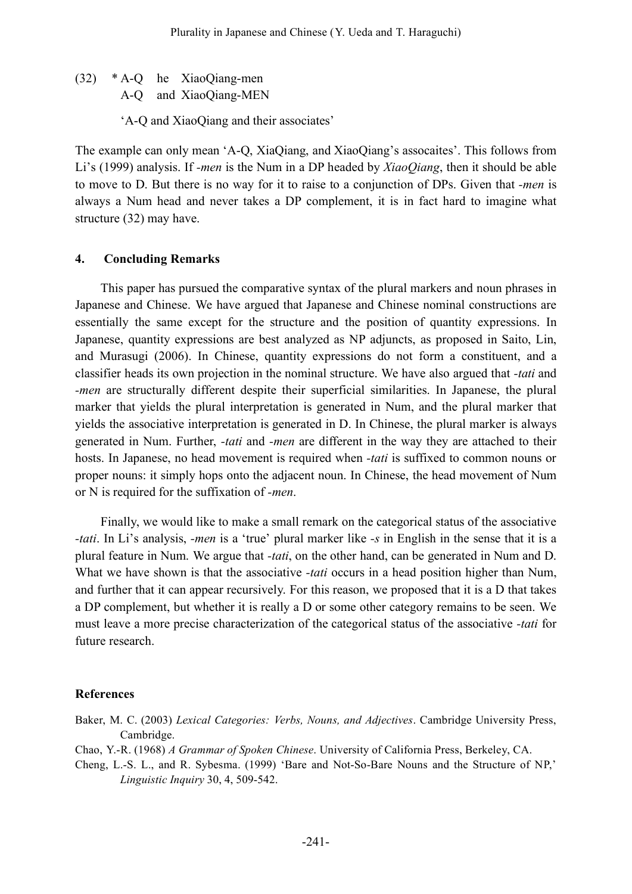(32) \* A-Q he XiaoQiang-men A-Q and XiaoQiang-MEN

'A-Q and XiaoQiang and their associates'

The example can only mean 'A-Q, XiaQiang, and XiaoQiang's assocaites'. This follows from Li's (1999) analysis. If *-men* is the Num in a DP headed by *XiaoQiang*, then it should be able to move to D. But there is no way for it to raise to a conjunction of DPs. Given that *-men* is always a Num head and never takes a DP complement, it is in fact hard to imagine what structure (32) may have.

## **4. Concluding Remarks**

This paper has pursued the comparative syntax of the plural markers and noun phrases in Japanese and Chinese. We have argued that Japanese and Chinese nominal constructions are essentially the same except for the structure and the position of quantity expressions. In Japanese, quantity expressions are best analyzed as NP adjuncts, as proposed in Saito, Lin, and Murasugi (2006). In Chinese, quantity expressions do not form a constituent, and a classifier heads its own projection in the nominal structure. We have also argued that *-tati* and *-men* are structurally different despite their superficial similarities. In Japanese, the plural marker that yields the plural interpretation is generated in Num, and the plural marker that yields the associative interpretation is generated in D. In Chinese, the plural marker is always generated in Num. Further, *-tati* and *-men* are different in the way they are attached to their hosts. In Japanese, no head movement is required when *-tati* is suffixed to common nouns or proper nouns: it simply hops onto the adjacent noun. In Chinese, the head movement of Num or N is required for the suffixation of *-men*.

Finally, we would like to make a small remark on the categorical status of the associative *-tati*. In Li's analysis, *-men* is a 'true' plural marker like *-s* in English in the sense that it is a plural feature in Num. We argue that *-tati*, on the other hand, can be generated in Num and D. What we have shown is that the associative *-tati* occurs in a head position higher than Num, and further that it can appear recursively. For this reason, we proposed that it is a D that takes a DP complement, but whether it is really a D or some other category remains to be seen. We must leave a more precise characterization of the categorical status of the associative *-tati* for future research.

#### **References**

- Baker, M. C. (2003) *Lexical Categories: Verbs, Nouns, and Adjectives*. Cambridge University Press, Cambridge.
- Chao, Y.-R. (1968) *A Grammar of Spoken Chinese*. University of California Press, Berkeley, CA.
- Cheng, L.-S. L., and R. Sybesma. (1999) 'Bare and Not-So-Bare Nouns and the Structure of NP,' *Linguistic Inquiry* 30, 4, 509-542.